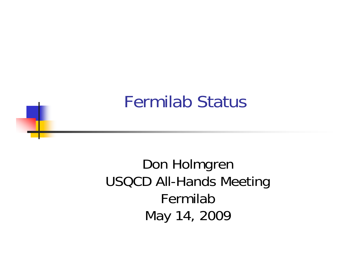### Fermilab Status

Don Holmgren USQCD All-Hands Meeting FermilabMay 14, 2009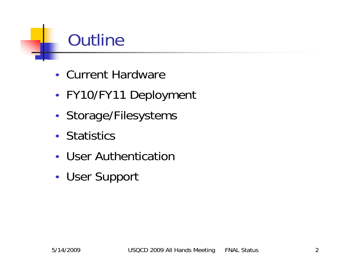### **Outline**

- Current Hardware
- •FY10/FY11 Deployment
- •• Storage/Filesystems
- Statistics
- User Authentication
- •User Support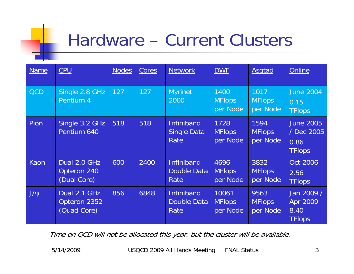### Hardware – Current Clusters

| <b>Name</b> | CPU                                         | <b>Nodes</b> | Cores | <b>Network</b>                                  | <b>DWF</b>                         | <b>Asgtad</b>                     | Online                                                  |
|-------------|---------------------------------------------|--------------|-------|-------------------------------------------------|------------------------------------|-----------------------------------|---------------------------------------------------------|
| <b>QCD</b>  | Single 2.8 GHz<br>Pentium 4                 | 127          | 127   | <b>Myrinet</b><br>2000                          | 1400<br><b>MFlops</b><br>per Node  | 1017<br><b>MFlops</b><br>per Node | <b>June 2004</b><br>0.15<br>TFlops                      |
| Pion        | Single 3.2 GHz<br>Pentium 640               | 518          | 518   | <b>Infiniband</b><br>Single Data<br>Rate        | 1728<br><b>MFlops</b><br>per Node  | 1594<br><b>MFlops</b><br>per Node | <b>June 2005</b><br>/ Dec 2005<br>0.86<br><b>TFlops</b> |
| Kaon        | Dual 2.0 GHz<br>Opteron 240<br>(Dual Core)  | 600          | 2400  | <b>Infiniband</b><br>Double Data<br>Rate        | 4696<br><b>MFlops</b><br>per Node  | 3832<br><b>MFlops</b><br>per Node | Oct 2006<br>2.56<br><b>TFlops</b>                       |
| $J/\psi$    | Dual 2.1 GHz<br>Opteron 2352<br>(Quad Core) | 856          | 6848  | <b>Infiniband</b><br><b>Double Data</b><br>Rate | 10061<br><b>MFlops</b><br>per Node | 9563<br><b>MFlops</b><br>per Node | Jan 2009 /<br>Apr 2009<br>8.40<br><b>TFlops</b>         |

Time on QCD will not be allocated this year, but the cluster will be available.

5/14/2009

USQCD 2009 All Hands Meeting FNAL Status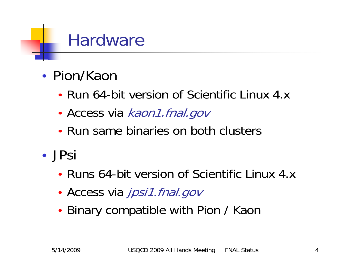### **Hardware**

- Pion/Kaon
	- Run 64-bit version of Scientific Linux 4.x
	- •• Access via kaon1.fnal.gov
	- Run same binaries on both clusters
- JPsi
	- Runs 64-bit version of Scientific Linux 4.x
	- •• Access via jpsi1.fnal.gov
	- •• Binary compatible with Pion / Kaon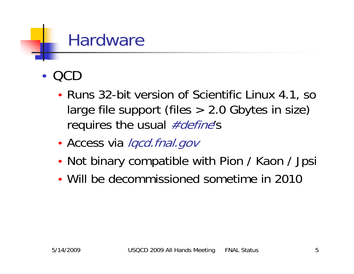### **Hardware**

•QCD

- •• Runs 32-bit version of Scientific Linux 4.1, so large file support (files > 2.0 Gbytes in size) requires the usual #define's
- •• Access via lqcd.fnal.gov
- •• Not binary compatible with Pion / Kaon / Jpsi
- Will be decommissioned sometime in 2010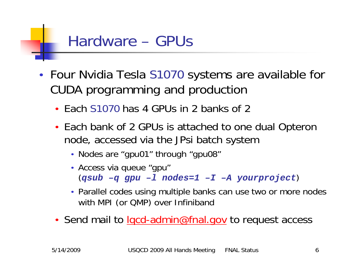### Hardware – GPUs

- Four Nvidia Tesla S1070 systems are available for CUDA programming and production
	- Each S1070 has 4 GPUs in 2 banks of 2
	- Each bank of 2 GPUs is attached to one dual Opteron node, accessed via the JPsi batch system
		- Nodes are "gpu01" through "gpu08"
		- Access via queue "gpu" (*qsub –q gpu –l nodes=1 –I –A yourproject* )
		- Parallel codes using multiple banks can use two or more nodes with MPI (or QMP) over Infiniband
	- Send mail to *lgcd-admin@fnal.gov* to request access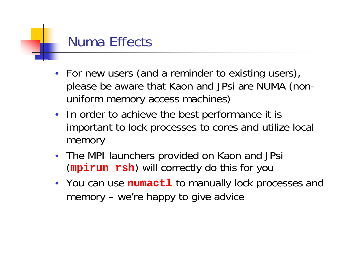#### Numa Effects

- •• For new users (and a reminder to existing users), please be aware that Kaon and JPsi are NUMA (nonuniform memory access machines)
- In order to achieve the best performance it is important to lock processes to cores and utilize local memory
- The MPI launchers provided on Kaon and JPsi (**mpirun\_rsh**) will correctly do this for you
- You can use **numact1** to manually lock processes and memory – we're happy to give advice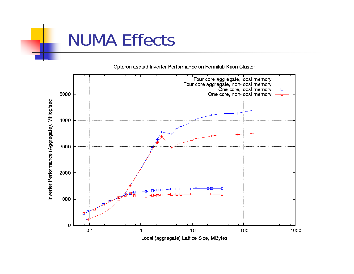### NUMA Effects



Opteron asgtad Inverter Performance on Fermilab Kaon Cluster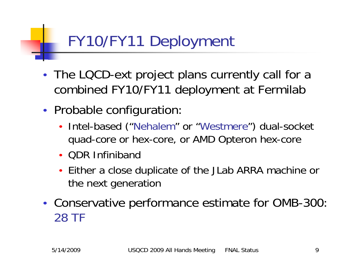## FY10/FY11 Deployment

- • The LQCD-ext project plans currently call for a combined FY10/FY11 deployment at Fermilab
- •• Probable configuration:
	- $\bullet$  Intel-based ("Nehalem" or "Westmere") dual-socket quad-core or hex-core, or AMD Opteron hex-core
	- QDR Infiniband
	- Either a close duplicate of the JLab ARRA machine or the next generation
- • Conservative performance estimate for OMB-300: 28 TF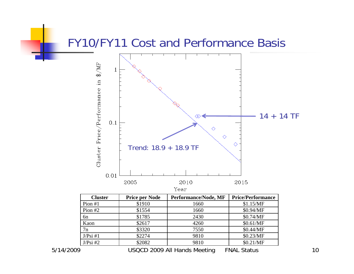#### FY10/FY11 Cost and Performance Basis



| <b>Cluster</b> | <b>Price per Node</b> | Performance/Node, MF | <b>Price/Performance</b> |
|----------------|-----------------------|----------------------|--------------------------|
| Pion $#1$      | \$1910                | 1660                 | \$1.15/MF                |
| Pion $#2$      | \$1554                | 1660                 | \$0.94/MF                |
| 6 <sub>n</sub> | \$1785                | 2430                 | \$0.74/MF                |
| Kaon           | \$2617                | 4260                 | \$0.61/MF                |
| 7n             | \$3320                | 7550                 | \$0.44/MF                |
| J/Psi #1       | \$2274                | 9810                 | \$0.23/MF                |
| J/Psi #2       | \$2082                | 9810                 | \$0.21/MF                |
|                |                       | .<br>.               |                          |

5/14/2009

USQCD 2009 All Hands Meeting FNAL Status 10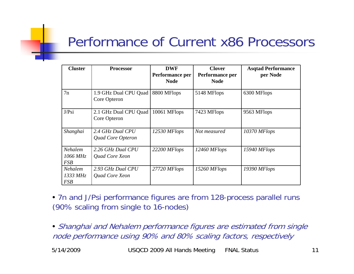#### Performance of Current x86 Processors

| <b>Cluster</b>                    | <b>Processor</b>                      | <b>DWF</b>      | <b>Clover</b>   | <b>Asqtad Performance</b> |
|-----------------------------------|---------------------------------------|-----------------|-----------------|---------------------------|
|                                   |                                       | Performance per | Performance per | per Node                  |
|                                   |                                       | <b>Node</b>     | <b>Node</b>     |                           |
| 7n                                | 1.9 GHz Dual CPU Quad<br>Core Opteron | 8800 MFlops     | 5148 MFlops     | 6300 MFlops               |
| J/Psi                             | 2.1 GHz Dual CPU Quad<br>Core Opteron | 10061 MFlops    | 7423 MFlops     | 9563 MFlops               |
| Shanghai                          | 2.4 GHz Dual CPU<br>Quad Core Opteron | 12530 MFlops    | Not measured    | 10370 MFlops              |
| Nehalem<br>1066 MHz<br><b>FSB</b> | 2.26 GHz Dual CPU<br>Quad Core Xeon   | 22200 MFlops    | 12460 MFlops    | 15940 MFlops              |
| Nehalem<br>1333 MHz<br><b>FSB</b> | 2.93 GHz Dual CPU<br>Quad Core Xeon   | 27720 MFlops    | 15260 MFlops    | 19390 MFlops              |

• 7n and J/Psi performance figures are from 128-process parallel runs (90% scaling from single to 16-nodes)

• Shanghai and Nehalem performance figures are estimated from single node performance using 90% and 80% scaling factors, respectively

5/14/2009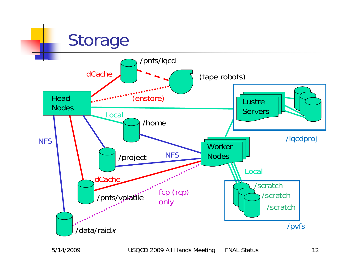### Storage



5/14/2009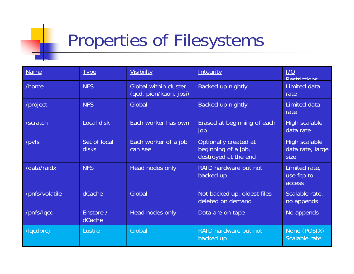# Properties of Filesystems

| <b>Name</b>    | <b>Type</b>                  | <b>Visibiilty</b>                                      | Integrity                                                            | 1/O<br><b>Restrictions</b>                |
|----------------|------------------------------|--------------------------------------------------------|----------------------------------------------------------------------|-------------------------------------------|
| /home          | <b>NFS</b>                   | <b>Global within cluster</b><br>(qcd, pion/kaon, jpsi) | Backed up nightly                                                    | Limited data<br>rate                      |
| /project       | <b>NFS</b>                   | Global                                                 | Backed up nightly                                                    | <b>Limited data</b><br>rate               |
| /scratch       | Local disk                   | Each worker has own                                    | Erased at beginning of each<br>job                                   | <b>High scalable</b><br>data rate         |
| /pvfs          | Set of local<br><b>disks</b> | Each worker of a job<br>can see                        | Optionally created at<br>beginning of a job,<br>destroyed at the end | High scalable<br>data rate, large<br>size |
| /data/raidx    | <b>NFS</b>                   | Head nodes only                                        | RAID hardware but not<br>backed up                                   | Limited rate,<br>use fcp to<br>access     |
| /pnfs/volatile | dCache                       | Global                                                 | Not backed up, oldest files<br>deleted on demand                     | Scalable rate,<br>no appends              |
| /pnfs/lqcd     | Enstore /<br>dCache          | Head nodes only                                        | Data are on tape                                                     | No appends                                |
| /lqcdproj      | Lustre                       | Global                                                 | RAID hardware but not<br>backed up                                   | None (POSIX)<br>Scalable rate             |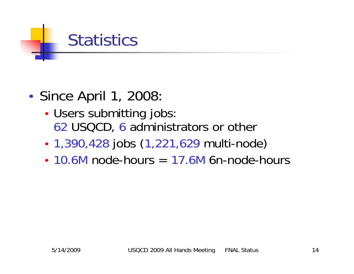### **Statistics**

- •• Since April 1, 2008:
	- • Users submitting jobs: 62 USQCD, 6 administrators or other
	- •1,390,428 jobs (1,221,629 multi-node)
	- $\cdot$  10.6M node-hours  $=$  17.6M 6n-node-hours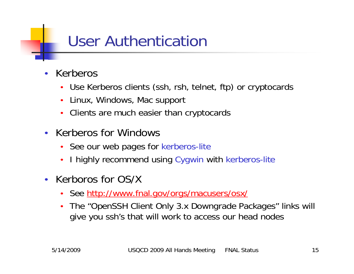### User Authentication

- • Kerberos
	- Use Kerberos clients (ssh, rsh, telnet, ftp) or cryptocards
	- •Linux, Windows, Mac support
	- •Clients are much easier than cryptocards
- Kerberos for Windows
	- See our web pages for kerberos-lite
	- $\bullet$ I highly recommend using Cygwin with kerberos-lite
- Kerboros for OS/X
	- •See<http://www.fnal.gov/orgs/macusers/osx/>
	- • The "OpenSSH Client Only 3.x Downgrade Packages" links will give you ssh's that will work to access our head nodes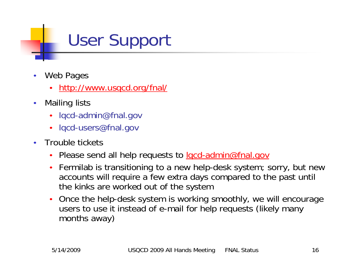# User Support

- • Web Pages
	- •<http://www.usqcd.org/fnal/>
- $\bullet$  Mailing lists
	- lqcd-admin@fnal.gov
	- •lqcd-users@fnal.gov
- • Trouble tickets
	- •Please send all help requests to <u>lgcd-admin@fnal.gov</u>
	- Fermilab is transitioning to a new help-desk system; sorry, but new accounts will require a few extra days compared to the past until the kinks are worked out of the system
	- • Once the help-desk system is working smoothly, we will encourage users to use it instead of e-mail for help requests (likely many months away)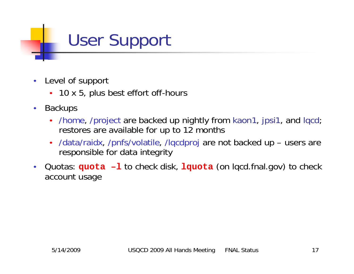# User Support

- • Level of support
	- 10 x 5, plus best effort off-hours
- • Backups
	- /home, /project are backed up nightly from kaon1, jpsi1, and lqcd; restores are available for up to 12 months
	- • /data/raidx, /pnfs/volatile, /lqcdproj are not backed up – users are responsible for data integrity
- •Quotas: **quota -1** to check disk, **lquota** (on lqcd.fnal.gov) to check account usage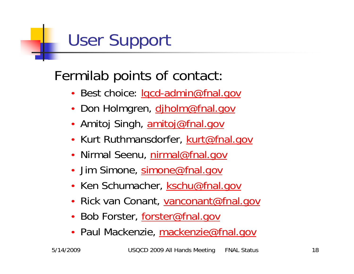# User Support

#### Fermilab points of contact:

- •Best choice: lgcd-admin@fnal.gov
- Don Holmgren, <u>djholm@fnal.gov</u>
- Amitoj Singh, <u>[amitoj@fnal.gov](mailto:amitoj@fnal.gov)</u>
- Kurt Ruthmansdorfer, **kurt@fnal.gov**
- Nirmal Seenu, <u>[nirmal@fnal.gov](mailto:nirmal@fnal.gov)</u>
- Jim Simone, [simone@fnal.gov](mailto:simone@fnal.gov)
- Ken Schumacher, **[kschu@fnal.gov](mailto:kschu@fnal.gov)**
- Rick van Conant, <u>[vanconant@fnal.gov](mailto:vanconant@fnal.gov)</u>
- Bob Forster, [forster@fnal.gov](mailto:forster@fnal.gov)
- Paul Mackenzie, [mackenzie@fnal.gov](mailto:pbm@fnal.gov)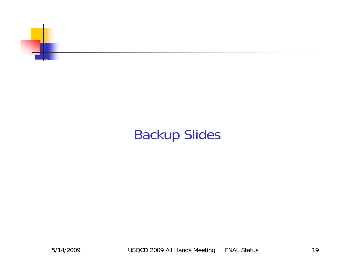

#### Backup Slides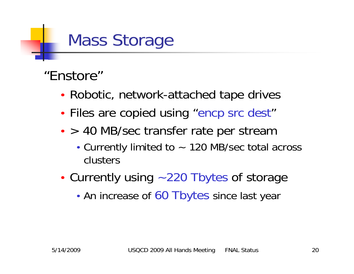# Mass Storage

#### "Enstore"

- •Robotic, network-attached tape drives
- •• Files are copied using "encp src dest"
- •• > 40 MB/sec transfer rate per stream
	- Currently limited to ~ 120 MB/sec total across clusters
- •• Currently using ~220 Tbytes of storage
	- •• An increase of 60 Tbytes since last year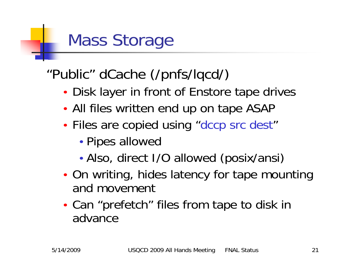# Mass Storage

#### "Public" dCache (/pnfs/lqcd/)

- •Disk layer in front of Enstore tape drives
- •All files written end up on tape ASAP
- •• Files are copied using "dccp src dest"
	- •Pipes allowed
	- •Also, direct I/O allowed (posix/ansi)
- •• On writing, hides latency for tape mounting and movement
- • Can "prefetch" files from tape to disk in advance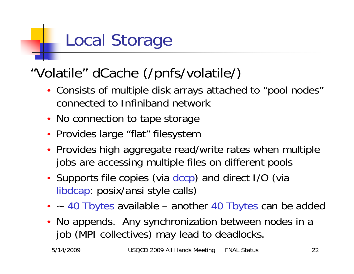#### "Volatile" dCache (/pnfs/volatile/)

- Consists of multiple disk arrays attached to "pool nodes" connected to Infiniband network
- No connection to tape storage
- Provides large "flat" filesystem
- Provides high aggregate read/write rates when multiple jobs are accessing multiple files on different pools
- •• Supports file copies (via dccp) and direct I/O (via libdcap: posix/ansi style calls)
- ~ 40 Tbytes available another 40 Tbytes can be added
- No appends. Any synchronization between nodes in a job (MPI collectives) may lead to deadlocks.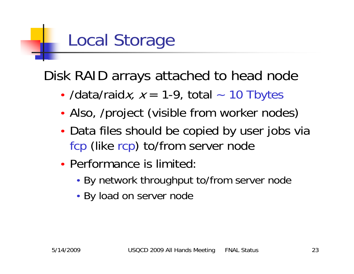Disk RAID arrays attached to head node

- •• /data/raidx,  $x = 1-9$ , total ~ 10 Tbytes
- •Also, /project (visible from worker nodes)
- •• Data files should be copied by user jobs via fcp (like rcp) to/from server node
- Performance is limited:
	- By network throughput to/from server node
	- By load on server node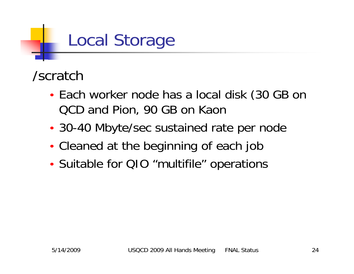#### /scratch

- • Each worker node has a local disk (30 GB on QCD and Pion, 90 GB on Kaon
- •30-40 Mbyte/sec sustained rate per node
- •Cleaned at the beginning of each job
- •Suitable for QIO "multifile" operations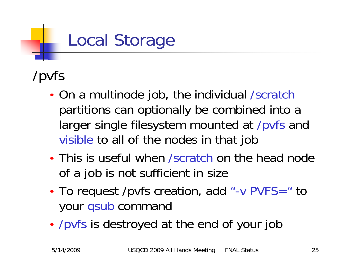### /pvfs

- • On a multinode job, the individual /scratch partitions can optionally be combined into a larger single filesystem mounted at /pvfs and visible to all of the nodes in that job
- This is useful when /scratch on the head node of a job is not sufficient in size
- •• To request /pvfs creation, add "-v PVFS=" to your qsub command
- •/pvfs is destroyed at the end of your job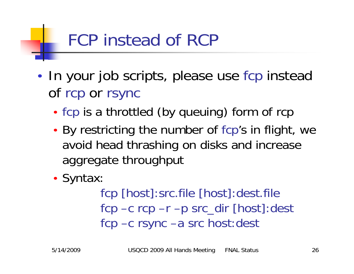# FCP instead of RCP

- •• In your job scripts, please use fcp instead of rcp or rsync
	- •• fcp is a throttled (by queuing) form of rcp
	- • By restricting the number of fcp's in flight, we avoid head thrashing on disks and increase aggregate throughput
	- •• Syntax:

fcp [host]:src.file [host]:dest.file fcp –c rcp –r –p src\_dir [host]:dest fcp –c rsync –a src host:dest